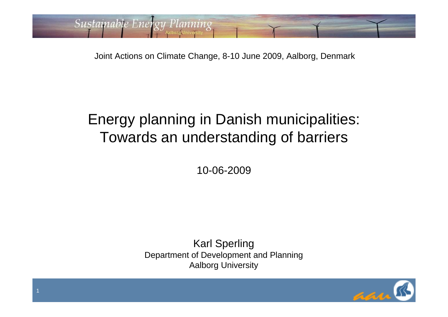Joint Actions on Climate Change, 8-10 June 2009, Aalborg, Denmark

Sustainable Energy Planning

#### Energy planning in Danish municipalities: Towards an understanding of barriers

10-06-2009

Karl Sperling Department of Development and Planning Aalborg University



1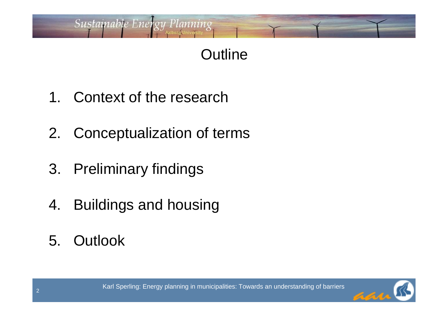# **Outline**

1. Context of the research

- 2. Conceptualization of terms
- 3. Preliminary findings
- 4. Buildings and housing
- 5. Outlook

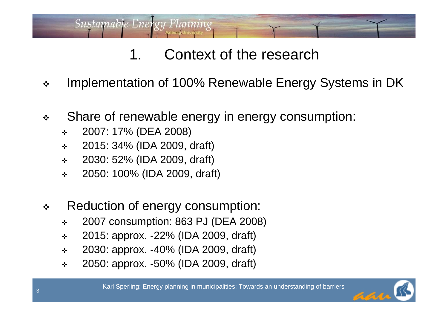- $\frac{1}{2}$ Implementation of 100% Renewable Energy Systems in DK
- $\frac{1}{2}$  Share of renewable energy in energy consumption:
	- $\frac{1}{2}$ 2007: 17% (DEA 2008)
	- $\frac{1}{2}$ 2015: 34% (IDA 2009, draft)

- $\frac{1}{2}$ 2030: 52% (IDA 2009, draft)
- $\frac{1}{2}$ 2050: 100% (IDA 2009, draft)
- $\frac{1}{2}$  Reduction of energy consumption:
	- $\frac{1}{2}$ 2007 consumption: 863 PJ (DEA 2008)
	- $\frac{1}{2}$ 2015: approx. -22% (IDA 2009, draft)
	- $\frac{1}{2}$ 2030: approx. -40% (IDA 2009, draft)
	- $\frac{1}{2}$ 2050: approx. -50% (IDA 2009, draft)

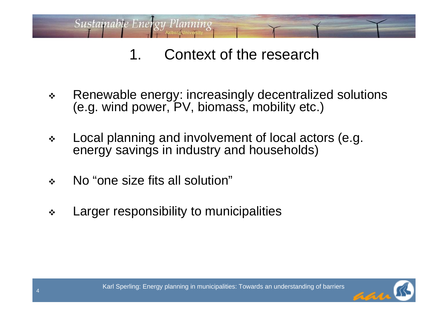- $\frac{1}{2}$  Renewable energy: increasingly decentralized solutions (e.g. wind power, PV, biomass, mobility etc.)
- $\frac{1}{2}$  Local planning and involvement of local actors (e.g. energy savings in industry and households)
- $\frac{1}{2}$ No "one size fits all solution"

**Sustainable Energy Planning** 

 $\frac{1}{2}$ Larger responsibility to municipalities

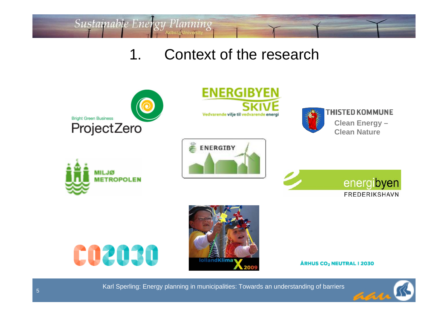

Sustainable Energy Planning





**THISTED KOMMUNE** 

**Clean Energy – Clean Nature**











ÅRHUS CO<sub>2</sub> NEUTRAL I 2030

Karl Sperling: Energy planning in municipalities: Towards an understanding of barriers

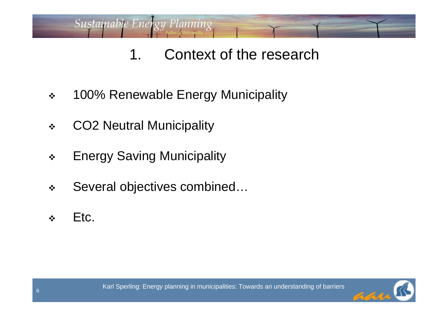- $\frac{1}{2}$ 100% Renewable Energy Municipality
- $\frac{1}{2}$ CO2 Neutral Municipality

- $\bullet^{\bullet}_{\bullet} \bullet$ Energy Saving Municipality
- $\frac{1}{2}$ Several objectives combined…
- $\frac{1}{2}$ Etc.

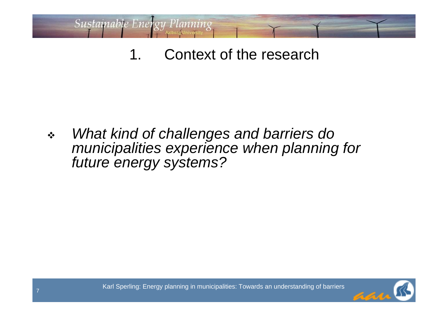Sustainable Energy Planning

 $\frac{1}{2}$  *What kind of challenges and barriers do municipalities experience when planning for future energy systems?*



Karl Sperling: Energy planning in municipalities: Towards an understanding of barriers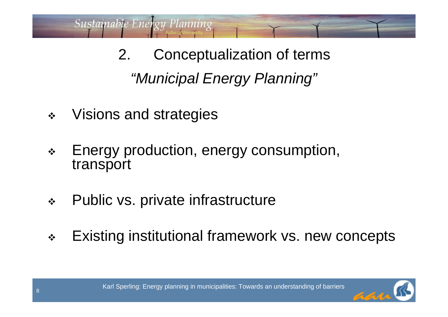*"Municipal Energy Planning"* 2. Conceptualization of terms

 $\frac{1}{2}$ Visions and strategies

- $\bullet^{\bullet}_{\bullet} \bullet$  Energy production, energy consumption, transport
- $\frac{1}{2}$ Public vs. private infrastructure
- $\frac{1}{2}$ Existing institutional framework vs. new concepts

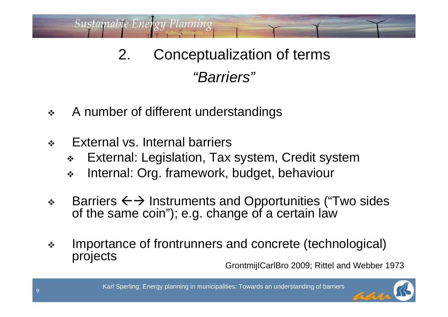# *"Barriers"* 2. Conceptualization of terms

- $\frac{1}{2}$ A number of different understandings
- $\frac{1}{2}$ External vs. Internal barriers

Sustainable Energy Planning

- $\frac{1}{2}$ External: Legislation, Tax system, Credit system
- $\frac{1}{2}$ Internal: Org. framework, budget, behaviour
- $\frac{1}{2}$  $\div$  Barriers  $\leftarrow$  > Instruments and Opportunities ("Two sides of the same coin"); e.g. change of a certain law
- $\frac{1}{2}$  Importance of frontrunners and concrete (technological) projects

GrontmijICarlBro 2009; Rittel and Webber 1973

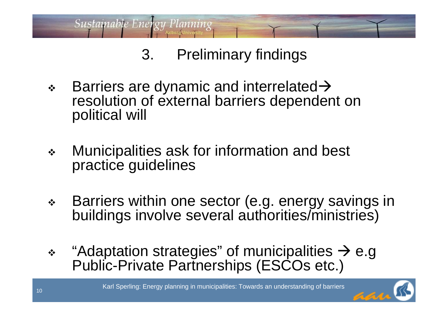

 $\frac{1}{2}$ Barriers are dynamic and interrelated  $\rightarrow$ resolution of external barriers dependent on political will

- $\frac{1}{2}$  Municipalities ask for information and best practice guidelines
- $\frac{1}{2}$  Barriers within one sector (e.g. energy savings in buildings involve several authorities/ministries)
- $\frac{1}{2}$ "Adaptation strategies" of municipalities  $\rightarrow$  e.g Public-Private Partnerships (ESCOs etc.)

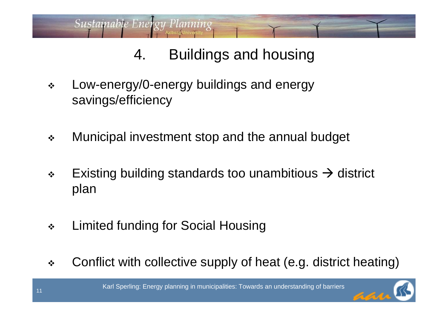# 4. Buildings and housing

 $\frac{1}{2}$  Low-energy/0-energy buildings and energy savings/efficiency

- $\frac{1}{2}$ Municipal investment stop and the annual budget
- $\frac{1}{2}$ Existing building standards too unambitious  $\rightarrow$  district plan
- $\frac{1}{2}$ Limited funding for Social Housing
- $\frac{1}{2}$ Conflict with collective supply of heat (e.g. district heating)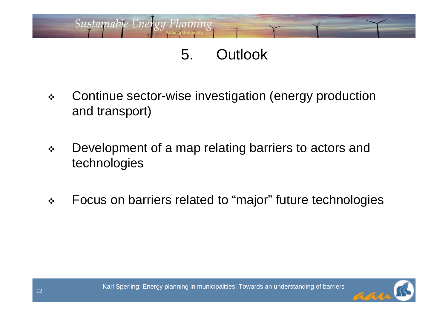#### 5. Outlook

 $\frac{1}{2}$  Continue sector-wise investigation (energy production and transport)

- $\frac{1}{2}$  Development of a map relating barriers to actors and technologies
- $\frac{1}{2}$ Focus on barriers related to "major" future technologies